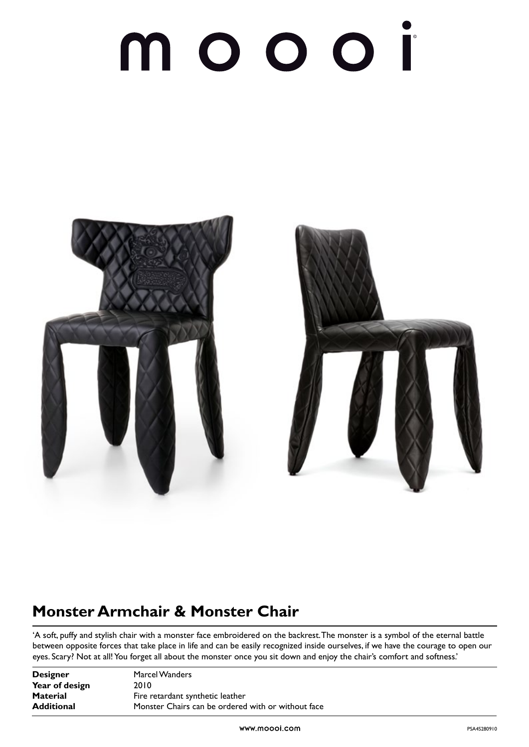# moooi



### **Monster Armchair & Monster Chair**

'A soft, puffy and stylish chair with a monster face embroidered on the backrest. The monster is a symbol of the eternal battle between opposite forces that take place in life and can be easily recognized inside ourselves, if we have the courage to open our eyes. Scary? Not at all! You forget all about the monster once you sit down and enjoy the chair's comfort and softness.'

| <b>Designer</b>   | Marcel Wanders                                     |
|-------------------|----------------------------------------------------|
| Year of design    | 2010                                               |
| <b>Material</b>   | Fire retardant synthetic leather                   |
| <b>Additional</b> | Monster Chairs can be ordered with or without face |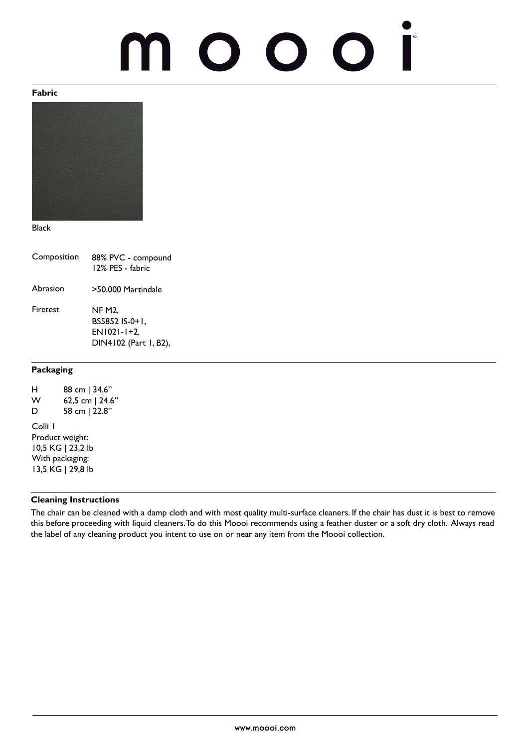## O O  $\bigodot$

#### **Fabric**



Black

| Composition | 88% PVC - compound<br>12% PES - fabric                                    |
|-------------|---------------------------------------------------------------------------|
| Abrasion    | >50.000 Martindale                                                        |
| Firetest    | <b>NF M2.</b><br>BS5852 IS-0+1.<br>$EN1021-1+2.$<br>DIN4102 (Part 1, B2), |

#### **Packaging**

| н<br>w<br>D                          | 88 cm   34.6"<br>62,5 cm   24.6" |  |
|--------------------------------------|----------------------------------|--|
| Colli I                              | 58 cm   22.8"                    |  |
| Product weight:<br>10,5 KG   23,2 lb |                                  |  |
| With packaging:<br>13,5 KG   29,8 lb |                                  |  |

#### **Cleaning Instructions**

The chair can be cleaned with a damp cloth and with most quality multi-surface cleaners. If the chair has dust it is best to remove this before proceeding with liquid cleaners. To do this Moooi recommends using a feather duster or a soft dry cloth. Always read the label of any cleaning product you intent to use on or near any item from the Moooi collection.